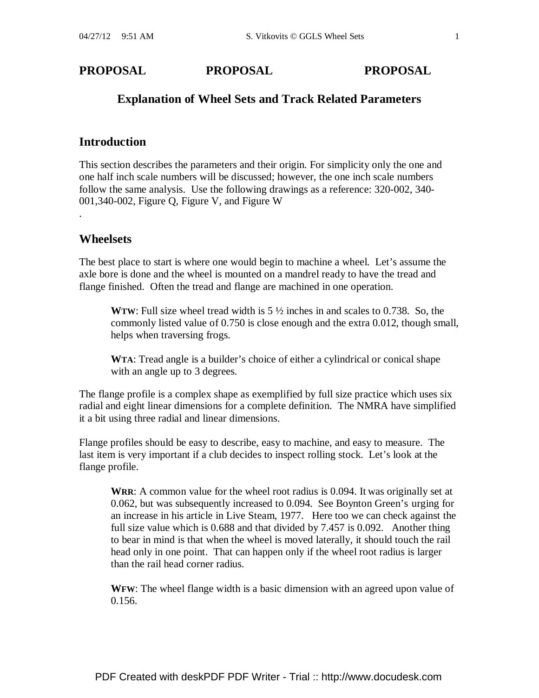# **Explanation of Wheel Sets and Track Related Parameters**

## **Introduction**

This section describes the parameters and their origin. For simplicity only the one and one half inch scale numbers will be discussed; however, the one inch scale numbers follow the same analysis. Use the following drawings as a reference: 320-002, 340- 001,340-002, Figure Q, Figure V, and Figure W

## **Wheelsets**

.

The best place to start is where one would begin to machine a wheel. Let's assume the axle bore is done and the wheel is mounted on a mandrel ready to have the tread and flange finished. Often the tread and flange are machined in one operation.

**WTW**: Full size wheel tread width is 5 ½ inches in and scales to 0.738. So, the commonly listed value of 0.750 is close enough and the extra 0.012, though small, helps when traversing frogs.

**WTA**: Tread angle is a builder's choice of either a cylindrical or conical shape with an angle up to 3 degrees.

The flange profile is a complex shape as exemplified by full size practice which uses six radial and eight linear dimensions for a complete definition. The NMRA have simplified it a bit using three radial and linear dimensions.

Flange profiles should be easy to describe, easy to machine, and easy to measure. The last item is very important if a club decides to inspect rolling stock. Let's look at the flange profile.

**WRR**: A common value for the wheel root radius is 0.094. It was originally set at 0.062, but was subsequently increased to 0.094. See Boynton Green's urging for an increase in his article in Live Steam, 1977. Here too we can check against the full size value which is 0.688 and that divided by 7.457 is 0.092. Another thing to bear in mind is that when the wheel is moved laterally, it should touch the rail head only in one point. That can happen only if the wheel root radius is larger than the rail head corner radius.

**WFW**: The wheel flange width is a basic dimension with an agreed upon value of 0.156.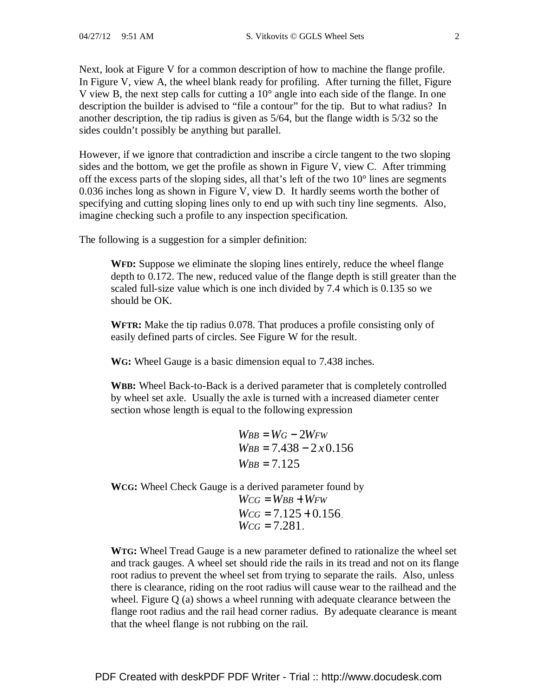Next, look at Figure V for a common description of how to machine the flange profile. In Figure V, view A, the wheel blank ready for profiling. After turning the fillet, Figure V view B, the next step calls for cutting a 10° angle into each side of the flange. In one description the builder is advised to "file a contour" for the tip. But to what radius? In another description, the tip radius is given as 5/64, but the flange width is 5/32 so the sides couldn't possibly be anything but parallel.

However, if we ignore that contradiction and inscribe a circle tangent to the two sloping sides and the bottom, we get the profile as shown in Figure V, view C. After trimming off the excess parts of the sloping sides, all that's left of the two 10° lines are segments 0.036 inches long as shown in Figure V, view D. It hardly seems worth the bother of specifying and cutting sloping lines only to end up with such tiny line segments. Also, imagine checking such a profile to any inspection specification.

The following is a suggestion for a simpler definition:

**WFD:** Suppose we eliminate the sloping lines entirely, reduce the wheel flange depth to 0.172. The new, reduced value of the flange depth is still greater than the scaled full-size value which is one inch divided by 7.4 which is 0.135 so we should be OK.

**WFTR:** Make the tip radius 0.078. That produces a profile consisting only of easily defined parts of circles. See Figure W for the result.

**WG:** Wheel Gauge is a basic dimension equal to 7.438 inches.

**WBB:** Wheel Back-to-Back is a derived parameter that is completely controlled by wheel set axle. Usually the axle is turned with a increased diameter center section whose length is equal to the following expression

> $W_{BB} = W_G - 2W_{FW}$  $W_{BB} = 7.438 - 2 \times 0.156$  $W_{BB} = 7.125$

**WCG:** Wheel Check Gauge is a derived parameter found by

 $W_{CG} = W_{BB} + W_{FW}$  $W_{CG} = 7.125 + 0.156$ .  $W_{CG} = 7.281$ .

**WTG:** Wheel Tread Gauge is a new parameter defined to rationalize the wheel set and track gauges. A wheel set should ride the rails in its tread and not on its flange root radius to prevent the wheel set from trying to separate the rails. Also, unless there is clearance, riding on the root radius will cause wear to the railhead and the wheel. Figure Q (a) shows a wheel running with adequate clearance between the flange root radius and the rail head corner radius. By adequate clearance is meant that the wheel flange is not rubbing on the rail.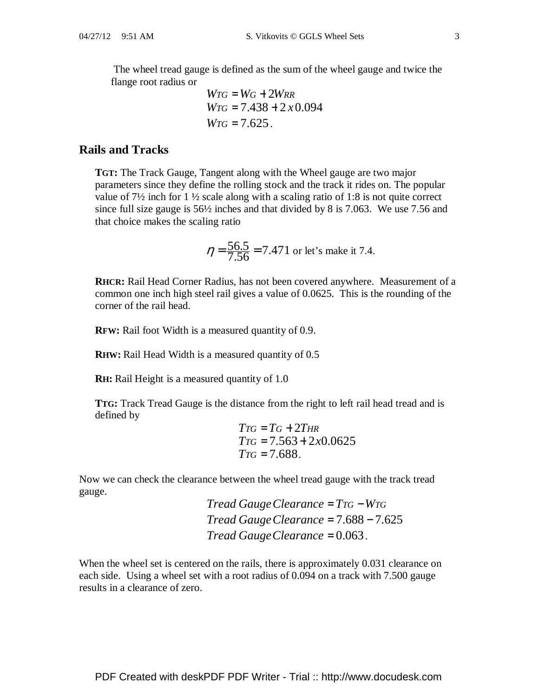The wheel tread gauge is defined as the sum of the wheel gauge and twice the flange root radius or

$$
WTG = WG + 2WRR
$$
  
 
$$
WTG = 7.438 + 2 x 0.094
$$
  
 
$$
WTG = 7.625.
$$

#### **Rails and Tracks**

**TGT:** The Track Gauge, Tangent along with the Wheel gauge are two major parameters since they define the rolling stock and the track it rides on. The popular value of 7½ inch for 1 ½ scale along with a scaling ratio of 1:8 is not quite correct since full size gauge is 56½ inches and that divided by 8 is 7.063. We use 7.56 and that choice makes the scaling ratio

$$
\eta = \frac{56.5}{7.56} = 7.471
$$
 or let's make it 7.4.

**RHCR:** Rail Head Corner Radius, has not been covered anywhere. Measurement of a common one inch high steel rail gives a value of 0.0625. This is the rounding of the corner of the rail head.

**RFW:** Rail foot Width is a measured quantity of 0.9.

**RHW:** Rail Head Width is a measured quantity of 0.5

**RH:** Rail Height is a measured quantity of 1.0

**TTG:** Track Tread Gauge is the distance from the right to left rail head tread and is defined by

$$
TTG = TG + 2THR
$$
  
\n
$$
TTG = 7.563 + 2x0.0625
$$
  
\n
$$
TTG = 7.688.
$$

Now we can check the clearance between the wheel tread gauge with the track tread gauge.

> *Tread GaugeClearance* = *TTG* −*WTG Tread GaugeClearance* = 7.688 − 7.625 *Tread GaugeClearance* = 0.063.

When the wheel set is centered on the rails, there is approximately 0.031 clearance on each side. Using a wheel set with a root radius of 0.094 on a track with 7.500 gauge results in a clearance of zero.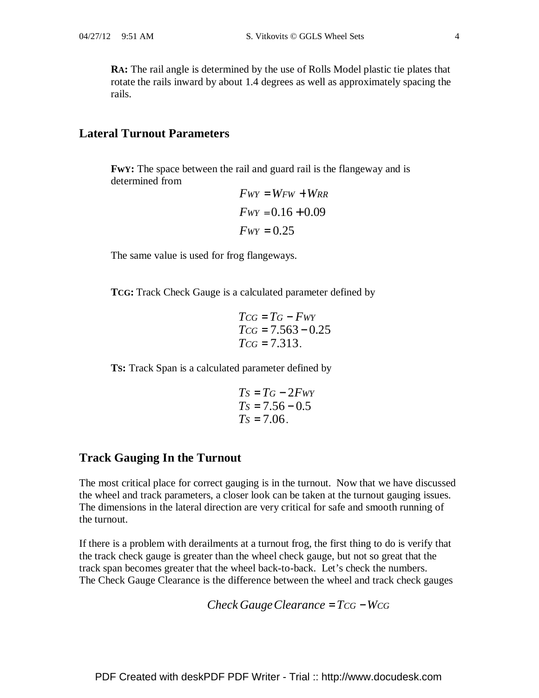**RA:** The rail angle is determined by the use of Rolls Model plastic tie plates that rotate the rails inward by about 1.4 degrees as well as approximately spacing the rails.

### **Lateral Turnout Parameters**

**FwY:** The space between the rail and guard rail is the flangeway and is determined from

$$
Fwr = WFW + WRR
$$

$$
Fwr = 0.16 + 0.09
$$

$$
Fwr = 0.25
$$

The same value is used for frog flangeways.

**TCG:** Track Check Gauge is a calculated parameter defined by

$$
T_{CG} = T_G - F_{WY}
$$
  
\n
$$
T_{CG} = 7.563 - 0.25
$$
  
\n
$$
T_{CG} = 7.313.
$$

**TS:** Track Span is a calculated parameter defined by

$$
Ts = TG - 2FwY
$$
  
\n
$$
Ts = 7.56 - 0.5
$$
  
\n
$$
Ts = 7.06
$$

### **Track Gauging In the Turnout**

The most critical place for correct gauging is in the turnout. Now that we have discussed the wheel and track parameters, a closer look can be taken at the turnout gauging issues. The dimensions in the lateral direction are very critical for safe and smooth running of the turnout.

If there is a problem with derailments at a turnout frog, the first thing to do is verify that the track check gauge is greater than the wheel check gauge, but not so great that the track span becomes greater that the wheel back-to-back. Let's check the numbers. The Check Gauge Clearance is the difference between the wheel and track check gauges

Check *Gauge Clearance* = 
$$
Tcc
$$
 –  $Wcc$